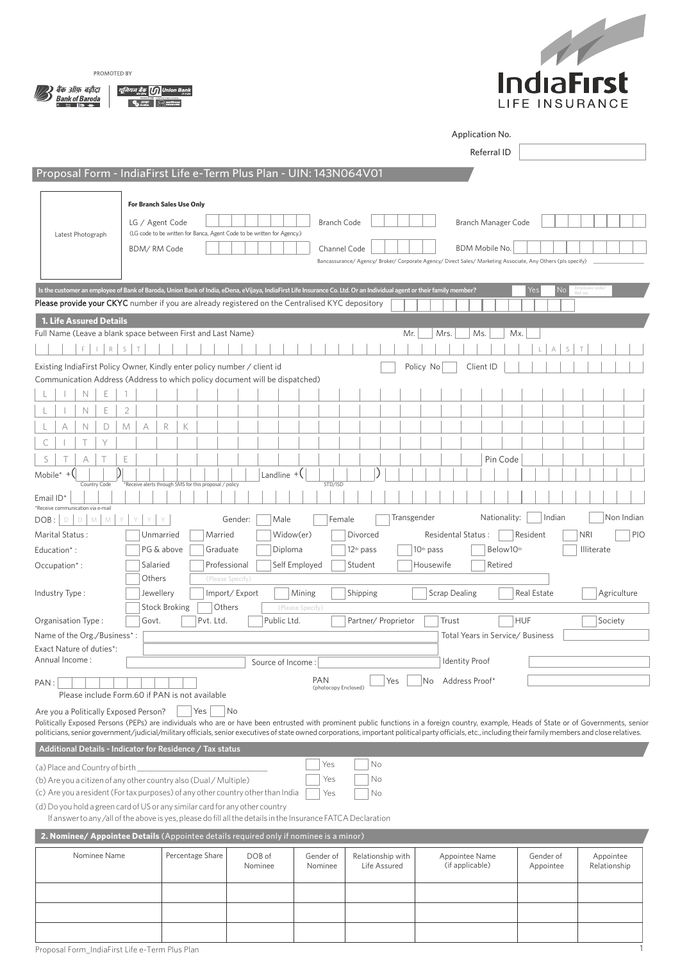



1

|                                                                                                                                                                                              |                                  |                                                                                                                                         |                                   |                      |                       | Application No.                                                                                                                                                                                                                                                                                                                                                                                        |                  |                   |  |  |
|----------------------------------------------------------------------------------------------------------------------------------------------------------------------------------------------|----------------------------------|-----------------------------------------------------------------------------------------------------------------------------------------|-----------------------------------|----------------------|-----------------------|--------------------------------------------------------------------------------------------------------------------------------------------------------------------------------------------------------------------------------------------------------------------------------------------------------------------------------------------------------------------------------------------------------|------------------|-------------------|--|--|
|                                                                                                                                                                                              |                                  |                                                                                                                                         |                                   |                      |                       | Referral ID                                                                                                                                                                                                                                                                                                                                                                                            |                  |                   |  |  |
| Proposal Form - IndiaFirst Life e-Term Plus Plan - UIN: 143N064V01                                                                                                                           |                                  |                                                                                                                                         |                                   |                      |                       |                                                                                                                                                                                                                                                                                                                                                                                                        |                  |                   |  |  |
|                                                                                                                                                                                              |                                  |                                                                                                                                         |                                   |                      |                       |                                                                                                                                                                                                                                                                                                                                                                                                        |                  |                   |  |  |
|                                                                                                                                                                                              | <b>For Branch Sales Use Only</b> |                                                                                                                                         |                                   |                      |                       |                                                                                                                                                                                                                                                                                                                                                                                                        |                  |                   |  |  |
| Latest Photograph                                                                                                                                                                            |                                  | <b>Branch Code</b><br>LG / Agent Code<br>Branch Manager Code<br>(LG code to be written for Banca, Agent Code to be written for Agency.) |                                   |                      |                       |                                                                                                                                                                                                                                                                                                                                                                                                        |                  |                   |  |  |
|                                                                                                                                                                                              | BDM/RM Code                      |                                                                                                                                         |                                   | Channel Code         |                       | BDM Mobile No.                                                                                                                                                                                                                                                                                                                                                                                         |                  |                   |  |  |
|                                                                                                                                                                                              |                                  |                                                                                                                                         |                                   |                      |                       | Bancassurance/ Agency/ Broker/ Corporate Agency/ Direct Sales/ Marketing Associate, Any Others (pls specify)                                                                                                                                                                                                                                                                                           |                  |                   |  |  |
| Is the customer an employee of Bank of Baroda, Union Bank of India, eDena, eVijaya, IndiaFirst Life Insurance Co. Ltd. Or an Individual agent or their family member?                        |                                  |                                                                                                                                         |                                   |                      |                       |                                                                                                                                                                                                                                                                                                                                                                                                        | Yes<br><b>No</b> | Employee code     |  |  |
| <b>Please provide your CKYC</b> number if you are already registered on the Centralised KYC depository                                                                                       |                                  |                                                                                                                                         |                                   |                      |                       |                                                                                                                                                                                                                                                                                                                                                                                                        |                  |                   |  |  |
| <b>1. Life Assured Details</b>                                                                                                                                                               |                                  |                                                                                                                                         |                                   |                      |                       |                                                                                                                                                                                                                                                                                                                                                                                                        |                  |                   |  |  |
| Full Name (Leave a blank space between First and Last Name)                                                                                                                                  |                                  |                                                                                                                                         |                                   |                      | Mr.                   | Mrs.<br>Ms.                                                                                                                                                                                                                                                                                                                                                                                            | Mx.              |                   |  |  |
| R<br>F.                                                                                                                                                                                      | S<br>$\top$                      |                                                                                                                                         |                                   |                      |                       |                                                                                                                                                                                                                                                                                                                                                                                                        | S<br>А           |                   |  |  |
| Existing IndiaFirst Policy Owner, Kindly enter policy number / client id<br>Communication Address (Address to which policy document will be dispatched)                                      |                                  |                                                                                                                                         |                                   |                      |                       | Policy No<br>Client ID                                                                                                                                                                                                                                                                                                                                                                                 |                  |                   |  |  |
| Е<br>N                                                                                                                                                                                       |                                  |                                                                                                                                         |                                   |                      |                       |                                                                                                                                                                                                                                                                                                                                                                                                        |                  |                   |  |  |
| Е<br>N                                                                                                                                                                                       | $\overline{2}$                   |                                                                                                                                         |                                   |                      |                       |                                                                                                                                                                                                                                                                                                                                                                                                        |                  |                   |  |  |
| А<br>N<br>D                                                                                                                                                                                  | M<br>А                           | R<br>К                                                                                                                                  |                                   |                      |                       |                                                                                                                                                                                                                                                                                                                                                                                                        |                  |                   |  |  |
| Y<br>С                                                                                                                                                                                       |                                  |                                                                                                                                         |                                   |                      |                       |                                                                                                                                                                                                                                                                                                                                                                                                        |                  |                   |  |  |
| S<br>А                                                                                                                                                                                       | E                                |                                                                                                                                         |                                   |                      |                       | Pin Code                                                                                                                                                                                                                                                                                                                                                                                               |                  |                   |  |  |
| $\vert$<br>Mobile <sup>*</sup> $+$ $($<br>Country Code                                                                                                                                       |                                  | *Receive alerts through SMS for this proposal / policy                                                                                  | Landline $+$ $($                  | STD/ISD              |                       |                                                                                                                                                                                                                                                                                                                                                                                                        |                  |                   |  |  |
| Email ID*                                                                                                                                                                                    |                                  |                                                                                                                                         |                                   |                      |                       |                                                                                                                                                                                                                                                                                                                                                                                                        |                  |                   |  |  |
| *Receive communication via e-mail<br>D<br>DOB:<br>M<br>M<br>D                                                                                                                                | Y                                |                                                                                                                                         | Gender:<br>Male                   | Female               | Transgender           | Nationality:                                                                                                                                                                                                                                                                                                                                                                                           | Indian           | Non Indian        |  |  |
| Marital Status:                                                                                                                                                                              |                                  | Unmarried                                                                                                                               | Married                           | Widow(er)            | Divorced              | Residental Status :                                                                                                                                                                                                                                                                                                                                                                                    | Resident         | <b>NRI</b><br>PIO |  |  |
| Education*:                                                                                                                                                                                  |                                  | PG & above                                                                                                                              | Graduate<br>Diploma               |                      | 12 <sup>th</sup> pass | Below10th<br>10 <sup>th</sup> pass                                                                                                                                                                                                                                                                                                                                                                     |                  | Illiterate        |  |  |
| Occupation*:                                                                                                                                                                                 | Salaried                         |                                                                                                                                         | Professional                      | Self Employed        | Student               | Housewife<br>Retired                                                                                                                                                                                                                                                                                                                                                                                   |                  |                   |  |  |
| Industry Type:                                                                                                                                                                               | Others<br>Jewellery              |                                                                                                                                         | (Please Specify)<br>Import/Export | Mining               | Shipping              | <b>Scrap Dealing</b>                                                                                                                                                                                                                                                                                                                                                                                   | Real Estate      | Agriculture       |  |  |
|                                                                                                                                                                                              |                                  | <b>Stock Broking</b>                                                                                                                    | Others                            | (Please Specify)     |                       |                                                                                                                                                                                                                                                                                                                                                                                                        |                  |                   |  |  |
| Organisation Type:                                                                                                                                                                           | Govt.                            | Pvt. Ltd.                                                                                                                               | Public Ltd.                       |                      | Partner/ Proprietor   | Trust                                                                                                                                                                                                                                                                                                                                                                                                  | <b>HUF</b>       | Society           |  |  |
| Name of the Org./Business*:                                                                                                                                                                  |                                  |                                                                                                                                         |                                   |                      |                       | Total Years in Service/ Business                                                                                                                                                                                                                                                                                                                                                                       |                  |                   |  |  |
| Exact Nature of duties*:<br>Annual Income:                                                                                                                                                   |                                  |                                                                                                                                         | Source of Income:                 |                      |                       | <b>Identity Proof</b>                                                                                                                                                                                                                                                                                                                                                                                  |                  |                   |  |  |
| PAN:                                                                                                                                                                                         |                                  |                                                                                                                                         |                                   | PAN                  | Yes                   | Address Proof*<br>No                                                                                                                                                                                                                                                                                                                                                                                   |                  |                   |  |  |
| Please include Form.60 if PAN is not available                                                                                                                                               |                                  |                                                                                                                                         |                                   | (photocopy Enclosed) |                       |                                                                                                                                                                                                                                                                                                                                                                                                        |                  |                   |  |  |
| Are you a Politically Exposed Person?                                                                                                                                                        |                                  | Yes                                                                                                                                     | No                                |                      |                       |                                                                                                                                                                                                                                                                                                                                                                                                        |                  |                   |  |  |
|                                                                                                                                                                                              |                                  |                                                                                                                                         |                                   |                      |                       | Politically Exposed Persons (PEPs) are individuals who are or have been entrusted with prominent public functions in a foreign country, example, Heads of State or of Governments, senior<br>politicians, senior government/judicial/military officials, senior executives of state owned corporations, important political party officials, etc., including their family members and close relatives. |                  |                   |  |  |
| Additional Details - Indicator for Residence / Tax status                                                                                                                                    |                                  |                                                                                                                                         |                                   |                      |                       |                                                                                                                                                                                                                                                                                                                                                                                                        |                  |                   |  |  |
| (a) Place and Country of birth                                                                                                                                                               |                                  |                                                                                                                                         |                                   | Yes                  | No                    |                                                                                                                                                                                                                                                                                                                                                                                                        |                  |                   |  |  |
| (b) Are you a citizen of any other country also (Dual / Multiple)                                                                                                                            |                                  |                                                                                                                                         |                                   | Yes                  | Νo                    |                                                                                                                                                                                                                                                                                                                                                                                                        |                  |                   |  |  |
| (c) Are you a resident (For tax purposes) of any other country other than India                                                                                                              |                                  |                                                                                                                                         |                                   | Yes                  | Nο                    |                                                                                                                                                                                                                                                                                                                                                                                                        |                  |                   |  |  |
| (d) Do you hold a green card of US or any similar card for any other country<br>If answer to any /all of the above is yes, please do fill all the details in the Insurance FATCA Declaration |                                  |                                                                                                                                         |                                   |                      |                       |                                                                                                                                                                                                                                                                                                                                                                                                        |                  |                   |  |  |
| 2. Nominee/ Appointee Details (Appointee details required only if nominee is a minor)                                                                                                        |                                  |                                                                                                                                         |                                   |                      |                       |                                                                                                                                                                                                                                                                                                                                                                                                        |                  |                   |  |  |
| Nominee Name                                                                                                                                                                                 |                                  | Percentage Share                                                                                                                        | DOB of                            | Gender of            | Relationship with     | Appointee Name                                                                                                                                                                                                                                                                                                                                                                                         | Gender of        | Appointee         |  |  |
|                                                                                                                                                                                              |                                  |                                                                                                                                         | Nominee                           | Nominee              | Life Assured          | (if applicable)                                                                                                                                                                                                                                                                                                                                                                                        | Appointee        | Relationship      |  |  |
|                                                                                                                                                                                              |                                  |                                                                                                                                         |                                   |                      |                       |                                                                                                                                                                                                                                                                                                                                                                                                        |                  |                   |  |  |
|                                                                                                                                                                                              |                                  |                                                                                                                                         |                                   |                      |                       |                                                                                                                                                                                                                                                                                                                                                                                                        |                  |                   |  |  |

Proposal Form\_IndiaFirst Life e-Term Plus Plan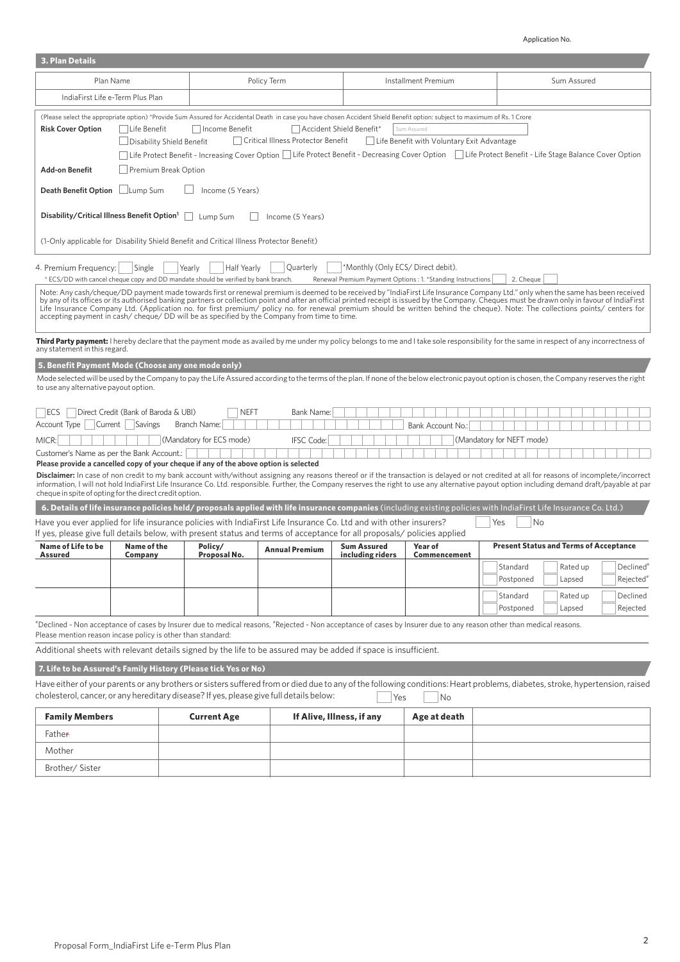## Application No.

| <b>3. Plan Details</b>                                                                                                                                                                                                                                                                                                                                                                                                                                                                  |                                                                                                                                                                                                                                                                                                                                                                                                                                                                                                                                                                                                                                                                     |  |                                                                                                             |                                                                                                                                                                                                                                             |                                        |                                                             |                                                                                                                                                                                               |  |
|-----------------------------------------------------------------------------------------------------------------------------------------------------------------------------------------------------------------------------------------------------------------------------------------------------------------------------------------------------------------------------------------------------------------------------------------------------------------------------------------|---------------------------------------------------------------------------------------------------------------------------------------------------------------------------------------------------------------------------------------------------------------------------------------------------------------------------------------------------------------------------------------------------------------------------------------------------------------------------------------------------------------------------------------------------------------------------------------------------------------------------------------------------------------------|--|-------------------------------------------------------------------------------------------------------------|---------------------------------------------------------------------------------------------------------------------------------------------------------------------------------------------------------------------------------------------|----------------------------------------|-------------------------------------------------------------|-----------------------------------------------------------------------------------------------------------------------------------------------------------------------------------------------|--|
| Plan Name                                                                                                                                                                                                                                                                                                                                                                                                                                                                               |                                                                                                                                                                                                                                                                                                                                                                                                                                                                                                                                                                                                                                                                     |  |                                                                                                             | Policy Term                                                                                                                                                                                                                                 |                                        | Installment Premium                                         | Sum Assured                                                                                                                                                                                   |  |
| IndiaFirst Life e-Term Plus Plan                                                                                                                                                                                                                                                                                                                                                                                                                                                        |                                                                                                                                                                                                                                                                                                                                                                                                                                                                                                                                                                                                                                                                     |  |                                                                                                             |                                                                                                                                                                                                                                             |                                        |                                                             |                                                                                                                                                                                               |  |
| (Please select the appropriate option) *Provide Sum Assured for Accidental Death in case you have chosen Accident Shield Benefit option: subject to maximum of Rs. 1 Crore<br><b>Risk Cover Option</b><br>Life Benefit<br>Income Benefit<br>Accident Shield Benefit*<br>Sum Assured<br>    Critical Illness Protector Benefit<br>  Life Benefit with Voluntary Exit Advantage<br>Disability Shield Benefit                                                                              |                                                                                                                                                                                                                                                                                                                                                                                                                                                                                                                                                                                                                                                                     |  |                                                                                                             |                                                                                                                                                                                                                                             |                                        |                                                             |                                                                                                                                                                                               |  |
| <b>Add-on Benefit</b>                                                                                                                                                                                                                                                                                                                                                                                                                                                                   | Life Protect Benefit - Increasing Cover Option □ Life Protect Benefit - Decreasing Cover Option □ Life Protect Benefit - Life Stage Balance Cover Option<br><b>Premium Break Option</b>                                                                                                                                                                                                                                                                                                                                                                                                                                                                             |  |                                                                                                             |                                                                                                                                                                                                                                             |                                        |                                                             |                                                                                                                                                                                               |  |
|                                                                                                                                                                                                                                                                                                                                                                                                                                                                                         | <b>Death Benefit Option</b><br>□Lump Sum<br>Income (5 Years)                                                                                                                                                                                                                                                                                                                                                                                                                                                                                                                                                                                                        |  |                                                                                                             |                                                                                                                                                                                                                                             |                                        |                                                             |                                                                                                                                                                                               |  |
| Disability/Critical Illness Benefit Option <sup>1</sup>                                                                                                                                                                                                                                                                                                                                                                                                                                 |                                                                                                                                                                                                                                                                                                                                                                                                                                                                                                                                                                                                                                                                     |  | Lump Sum                                                                                                    | Income (5 Years)                                                                                                                                                                                                                            |                                        |                                                             |                                                                                                                                                                                               |  |
|                                                                                                                                                                                                                                                                                                                                                                                                                                                                                         |                                                                                                                                                                                                                                                                                                                                                                                                                                                                                                                                                                                                                                                                     |  | (1-Only applicable for Disability Shield Benefit and Critical Illness Protector Benefit)                    |                                                                                                                                                                                                                                             |                                        |                                                             |                                                                                                                                                                                               |  |
| 4. Premium Frequency:                                                                                                                                                                                                                                                                                                                                                                                                                                                                   | Single                                                                                                                                                                                                                                                                                                                                                                                                                                                                                                                                                                                                                                                              |  | Half Yearly<br>Yearly<br>* ECS/DD with cancel cheque copy and DD mandate should be verified by bank branch. | Quarterly                                                                                                                                                                                                                                   | *Monthly (Only ECS/ Direct debit).     | Renewal Premium Payment Options : 1. *Standing Instructions | 2. Cheque                                                                                                                                                                                     |  |
|                                                                                                                                                                                                                                                                                                                                                                                                                                                                                         | Note: Any cash/cheque/DD payment made towards first or renewal premium is deemed to be received by "IndiaFirst Life Insurance Company Ltd." only when the same has been received<br>by any of its offices or its authorised banking partners or collection point and after an official printed receipt is issued by the Company. Cheques must be drawn only in favour of IndiaFirst<br>Life Insurance Company Ltd. (Application no. for first premium/ policy no. for renewal premium should be written behind the cheque). Note: The collections points/ centers for<br>accepting payment in cash/cheque/DD will be as specified by the Company from time to time. |  |                                                                                                             |                                                                                                                                                                                                                                             |                                        |                                                             |                                                                                                                                                                                               |  |
| any statement in this regard.                                                                                                                                                                                                                                                                                                                                                                                                                                                           |                                                                                                                                                                                                                                                                                                                                                                                                                                                                                                                                                                                                                                                                     |  |                                                                                                             |                                                                                                                                                                                                                                             |                                        |                                                             | Third Party payment: I hereby declare that the payment mode as availed by me under my policy belongs to me and I take sole responsibility for the same in respect of any incorrectness of     |  |
| 5. Benefit Payment Mode (Choose any one mode only)                                                                                                                                                                                                                                                                                                                                                                                                                                      |                                                                                                                                                                                                                                                                                                                                                                                                                                                                                                                                                                                                                                                                     |  |                                                                                                             |                                                                                                                                                                                                                                             |                                        |                                                             |                                                                                                                                                                                               |  |
| to use any alternative payout option.                                                                                                                                                                                                                                                                                                                                                                                                                                                   |                                                                                                                                                                                                                                                                                                                                                                                                                                                                                                                                                                                                                                                                     |  |                                                                                                             |                                                                                                                                                                                                                                             |                                        |                                                             | Mode selected will be used by the Company to pay the Life Assured according to the terms of the plan. If none of the below electronic payout option is chosen, the Company reserves the right |  |
| <b>IECS</b>                                                                                                                                                                                                                                                                                                                                                                                                                                                                             | Direct Credit (Bank of Baroda & UBI)                                                                                                                                                                                                                                                                                                                                                                                                                                                                                                                                                                                                                                |  | <b>NEFT</b>                                                                                                 | Bank Name:                                                                                                                                                                                                                                  |                                        |                                                             |                                                                                                                                                                                               |  |
| Account Type                                                                                                                                                                                                                                                                                                                                                                                                                                                                            | Current   Savings                                                                                                                                                                                                                                                                                                                                                                                                                                                                                                                                                                                                                                                   |  | Branch Name:                                                                                                |                                                                                                                                                                                                                                             |                                        | Bank Account No.:                                           |                                                                                                                                                                                               |  |
| MICR:                                                                                                                                                                                                                                                                                                                                                                                                                                                                                   |                                                                                                                                                                                                                                                                                                                                                                                                                                                                                                                                                                                                                                                                     |  | (Mandatory for ECS mode)                                                                                    | <b>IFSC</b> Code:                                                                                                                                                                                                                           |                                        |                                                             | (Mandatory for NEFT mode)                                                                                                                                                                     |  |
| Customer's Name as per the Bank Account.:                                                                                                                                                                                                                                                                                                                                                                                                                                               |                                                                                                                                                                                                                                                                                                                                                                                                                                                                                                                                                                                                                                                                     |  |                                                                                                             |                                                                                                                                                                                                                                             |                                        |                                                             |                                                                                                                                                                                               |  |
| Please provide a cancelled copy of your cheque if any of the above option is selected<br>Disclaimer: In case of non credit to my bank account with/without assigning any reasons thereof or if the transaction is delayed or not credited at all for reasons of incomplete/incorrect<br>information, I will not hold IndiaFirst Life Insurance Co. Ltd. responsible. Further, the Company reserves the right to use any alternative payout option including demand draft/payable at par |                                                                                                                                                                                                                                                                                                                                                                                                                                                                                                                                                                                                                                                                     |  |                                                                                                             |                                                                                                                                                                                                                                             |                                        |                                                             |                                                                                                                                                                                               |  |
|                                                                                                                                                                                                                                                                                                                                                                                                                                                                                         | cheque in spite of opting for the direct credit option.<br>6. Details of life insurance policies held/ proposals applied with life insurance companies (including existing policies with IndiaFirst Life Insurance Co. Ltd.)                                                                                                                                                                                                                                                                                                                                                                                                                                        |  |                                                                                                             |                                                                                                                                                                                                                                             |                                        |                                                             |                                                                                                                                                                                               |  |
|                                                                                                                                                                                                                                                                                                                                                                                                                                                                                         |                                                                                                                                                                                                                                                                                                                                                                                                                                                                                                                                                                                                                                                                     |  |                                                                                                             | Have you ever applied for life insurance policies with IndiaFirst Life Insurance Co. Ltd and with other insurers?<br>If yes, please give full details below, with present status and terms of acceptance for all proposals/policies applied |                                        |                                                             | No<br>Yes                                                                                                                                                                                     |  |
| <b>Name of Life to be</b><br><b>Assured</b>                                                                                                                                                                                                                                                                                                                                                                                                                                             | <b>Name of the</b><br>Company                                                                                                                                                                                                                                                                                                                                                                                                                                                                                                                                                                                                                                       |  | Policy/<br>Proposal No.                                                                                     | <b>Annual Premium</b>                                                                                                                                                                                                                       | <b>Sum Assured</b><br>including riders | Year of<br><b>Commencement</b>                              | <b>Present Status and Terms of Acceptance</b>                                                                                                                                                 |  |
|                                                                                                                                                                                                                                                                                                                                                                                                                                                                                         |                                                                                                                                                                                                                                                                                                                                                                                                                                                                                                                                                                                                                                                                     |  |                                                                                                             |                                                                                                                                                                                                                                             |                                        |                                                             | Standard<br>Rated up<br>Declined <sup>®</sup>                                                                                                                                                 |  |
|                                                                                                                                                                                                                                                                                                                                                                                                                                                                                         |                                                                                                                                                                                                                                                                                                                                                                                                                                                                                                                                                                                                                                                                     |  |                                                                                                             |                                                                                                                                                                                                                                             |                                        |                                                             | Postponed<br>Rejected <sup>®</sup><br>Lapsed                                                                                                                                                  |  |
|                                                                                                                                                                                                                                                                                                                                                                                                                                                                                         |                                                                                                                                                                                                                                                                                                                                                                                                                                                                                                                                                                                                                                                                     |  |                                                                                                             |                                                                                                                                                                                                                                             |                                        |                                                             | Standard<br>Declined<br>Rated up<br>Postponed<br>Lapsed<br>Rejected                                                                                                                           |  |
|                                                                                                                                                                                                                                                                                                                                                                                                                                                                                         |                                                                                                                                                                                                                                                                                                                                                                                                                                                                                                                                                                                                                                                                     |  |                                                                                                             |                                                                                                                                                                                                                                             |                                        |                                                             | "Declined - Non acceptance of cases by Insurer due to medical reasons, "Rejected - Non acceptance of cases by Insurer due to any reason other than medical reasons.                           |  |
| Please mention reason incase policy is other than standard:                                                                                                                                                                                                                                                                                                                                                                                                                             |                                                                                                                                                                                                                                                                                                                                                                                                                                                                                                                                                                                                                                                                     |  |                                                                                                             |                                                                                                                                                                                                                                             |                                        |                                                             |                                                                                                                                                                                               |  |
|                                                                                                                                                                                                                                                                                                                                                                                                                                                                                         |                                                                                                                                                                                                                                                                                                                                                                                                                                                                                                                                                                                                                                                                     |  |                                                                                                             | Additional sheets with relevant details signed by the life to be assured may be added if space is insufficient.                                                                                                                             |                                        |                                                             |                                                                                                                                                                                               |  |
| 7. Life to be Assured's Family History (Please tick Yes or No)                                                                                                                                                                                                                                                                                                                                                                                                                          |                                                                                                                                                                                                                                                                                                                                                                                                                                                                                                                                                                                                                                                                     |  |                                                                                                             |                                                                                                                                                                                                                                             |                                        |                                                             |                                                                                                                                                                                               |  |
| cholesterol, cancer, or any hereditary disease? If yes, please give full details below:                                                                                                                                                                                                                                                                                                                                                                                                 |                                                                                                                                                                                                                                                                                                                                                                                                                                                                                                                                                                                                                                                                     |  |                                                                                                             |                                                                                                                                                                                                                                             | Yes                                    | No                                                          | Have either of your parents or any brothers or sisters suffered from or died due to any of the following conditions: Heart problems, diabetes, stroke, hypertension, raised                   |  |
| <b>Family Members</b>                                                                                                                                                                                                                                                                                                                                                                                                                                                                   |                                                                                                                                                                                                                                                                                                                                                                                                                                                                                                                                                                                                                                                                     |  | <b>Current Age</b>                                                                                          |                                                                                                                                                                                                                                             | If Alive, Illness, if any              | Age at death                                                |                                                                                                                                                                                               |  |
|                                                                                                                                                                                                                                                                                                                                                                                                                                                                                         |                                                                                                                                                                                                                                                                                                                                                                                                                                                                                                                                                                                                                                                                     |  |                                                                                                             |                                                                                                                                                                                                                                             |                                        |                                                             |                                                                                                                                                                                               |  |

| <b>Family Members</b> | <b>Current Age</b> | If Alive, Illness, if any | Age at death |  |
|-----------------------|--------------------|---------------------------|--------------|--|
| Father                |                    |                           |              |  |
| Mother                |                    |                           |              |  |
| Brother/Sister        |                    |                           |              |  |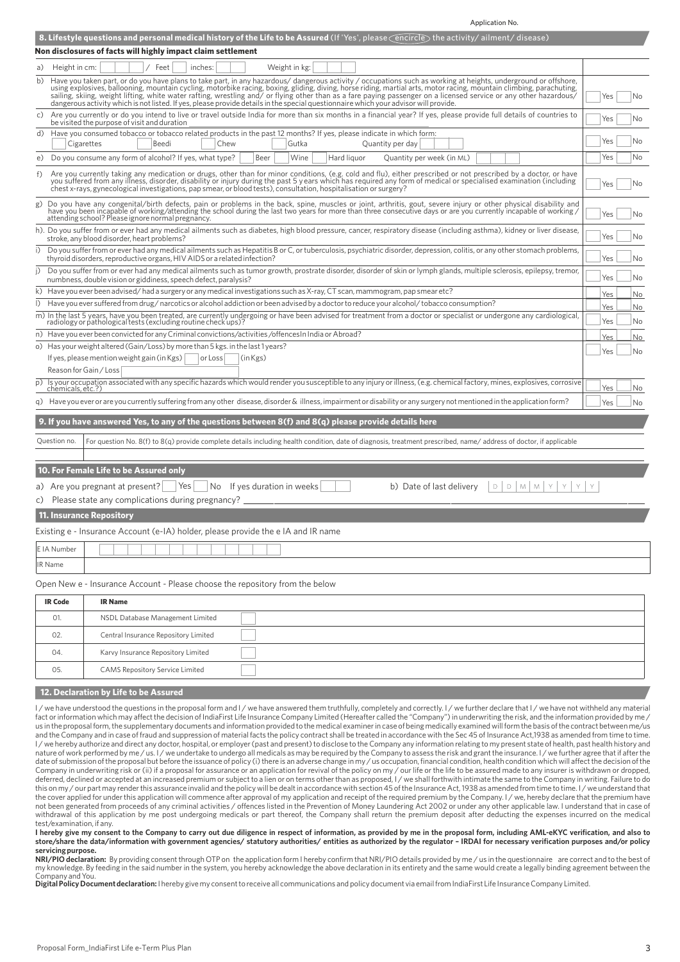|                   | Application No.                                                                                                                                                                                                                                                                                                                                                                                                                                                                                                                                 |                  |
|-------------------|-------------------------------------------------------------------------------------------------------------------------------------------------------------------------------------------------------------------------------------------------------------------------------------------------------------------------------------------------------------------------------------------------------------------------------------------------------------------------------------------------------------------------------------------------|------------------|
|                   | 8. Lifestyle questions and personal medical history of the Life to be Assured (If 'Yes', please encircle) the activity/ailment/disease)                                                                                                                                                                                                                                                                                                                                                                                                         |                  |
|                   | Non disclosures of facts will highly impact claim settlement                                                                                                                                                                                                                                                                                                                                                                                                                                                                                    |                  |
| a) Height in cm:  | Weight in kg:<br>Feet<br>inches:                                                                                                                                                                                                                                                                                                                                                                                                                                                                                                                |                  |
| b)                | Have you taken part, or do you have plans to take part, in any hazardous/dangerous activity / occupations such as working at heights, underground or offshore,<br>using explosives, ballooning, mountain cycling, motorbike racin<br>sailing, skiing, weight lifting, white water rafting, wrestling and/ or flying other than as a fare paying passenger on a licensed service or any other hazardous/<br>dangerous activity which is not listed. If yes, please provide details in the special questionnaire which your advisor will provide. | Yes<br>No        |
| c)                | Are you currently or do you intend to live or travel outside India for more than six months in a financial year? If yes, please provide full details of countries to<br>be visited the purpose of visit and duration                                                                                                                                                                                                                                                                                                                            | Yes<br>No.       |
| d)                | Have you consumed tobacco or tobacco related products in the past 12 months? If yes, please indicate in which form:<br>Cigarettes<br>Beedi<br>Chew<br>Gutka<br>Quantity per day                                                                                                                                                                                                                                                                                                                                                                 | Yes<br>No        |
|                   | e) Do you consume any form of alcohol? If yes, what type?<br>Beer<br>Wine<br>Hard liquor<br>Quantity per week (in ML)                                                                                                                                                                                                                                                                                                                                                                                                                           | Yes<br>No        |
| f)                | Are you currently taking any medication or drugs, other than for minor conditions, (e.g. cold and flu), either prescribed or not prescribed by a doctor, or have<br>you suffered from any illness, disorder, disability or injury during the past 5 years which has required any form of medical or specialised examination (including<br>chest x-rays, gynecological investigations, pap smear, or blood tests), consultation, hospitalisation or surgery?                                                                                     | Yes<br>No        |
| g)                | Do you have any congenital/birth defects, pain or problems in the back, spine, muscles or joint, arthritis, gout, severe injury or other physical disability and have you been incapable of working/attending the school durin<br>attending school? Please ignore normal pregnancy.                                                                                                                                                                                                                                                             | Yes<br>No        |
|                   | h). Do you suffer from or ever had any medical ailments such as diabetes, high blood pressure, cancer, respiratory disease (including asthma), kidney or liver disease,<br>stroke, any blood disorder, heart problems?                                                                                                                                                                                                                                                                                                                          | Yes<br>No        |
| i)                | Do you suffer from or ever had any medical ailments such as Hepatitis B or C, or tuberculosis, psychiatric disorder, depression, colitis, or any other stomach problems,<br>thyroid disorders, reproductive organs, HIV AIDS or a related infection?                                                                                                                                                                                                                                                                                            | Yes<br>No        |
| i)                | Do you suffer from or ever had any medical ailments such as tumor growth, prostrate disorder, disorder of skin or lymph glands, multiple sclerosis, epilepsy, tremor,<br>numbness, double vision or giddiness, speech defect, paralysis?                                                                                                                                                                                                                                                                                                        | Yes<br>No        |
|                   | k) Have you ever been advised/had a surgery or any medical investigations such as X-ray, CT scan, mammogram, pap smear etc?                                                                                                                                                                                                                                                                                                                                                                                                                     | Yes<br>No        |
| $\vert$ )         | Have you ever suffered from drug/narcotics or alcohol addiction or been advised by a doctor to reduce your alcohol/tobacco consumption?                                                                                                                                                                                                                                                                                                                                                                                                         | Yes<br>No        |
|                   | m) In the last 5 years, have you been treated, are currently undergoing or have been advised for treatment from a doctor or specialist or undergone any cardiological,<br>radiology or pathological tests (excluding routine check ups)?                                                                                                                                                                                                                                                                                                        | Yes<br>No        |
|                   | n) Have you ever been convicted for any Criminal convictions/activities/offences In India or Abroad?                                                                                                                                                                                                                                                                                                                                                                                                                                            | <b>Yes</b><br>No |
|                   | o) Has your weight altered (Gain/Loss) by more than 5 kgs. in the last 1 years?                                                                                                                                                                                                                                                                                                                                                                                                                                                                 | Yes<br>No        |
|                   | If yes, please mention weight gain (in Kgs)<br>or Loss<br>(in Kgs)                                                                                                                                                                                                                                                                                                                                                                                                                                                                              |                  |
|                   | Reason for Gain / Loss<br>p) Is your occupation associated with any specific hazards which would render you susceptible to any injury or illness, (e.g. chemical factory, mines, explosives, corrosive                                                                                                                                                                                                                                                                                                                                          |                  |
| chemicals, etc.?) |                                                                                                                                                                                                                                                                                                                                                                                                                                                                                                                                                 | Yes<br>No        |
|                   | q) Have you ever or are you currently suffering from any other disease, disorder & illness, impairment or disability or any surgery not mentioned in the application form?                                                                                                                                                                                                                                                                                                                                                                      | Yes<br>No        |
|                   | 9. If you have answered Yes, to any of the questions between 8(f) and 8(q) please provide details here                                                                                                                                                                                                                                                                                                                                                                                                                                          |                  |
| Question no.      | For question No. 8(f) to 8(q) provide complete details including health condition, date of diagnosis, treatment prescribed, name/address of doctor, if applicable                                                                                                                                                                                                                                                                                                                                                                               |                  |
|                   | 10. For Female Life to be Assured only                                                                                                                                                                                                                                                                                                                                                                                                                                                                                                          |                  |
|                   | a) Are you pregnant at present?   Yes<br>$D$ $D$ $M$ $M$<br>$\sqrt{N}$ If ves duration in weeks<br>b) Date of last delivery                                                                                                                                                                                                                                                                                                                                                                                                                     |                  |
|                   | c) Please state any complications during pregnancy?                                                                                                                                                                                                                                                                                                                                                                                                                                                                                             |                  |
|                   | <b>11. Insurance Repository</b>                                                                                                                                                                                                                                                                                                                                                                                                                                                                                                                 |                  |
|                   | Existing e - Insurance Account (e-IA) holder, please provide the e IA and IR name                                                                                                                                                                                                                                                                                                                                                                                                                                                               |                  |
|                   |                                                                                                                                                                                                                                                                                                                                                                                                                                                                                                                                                 |                  |
| E IA Number       |                                                                                                                                                                                                                                                                                                                                                                                                                                                                                                                                                 |                  |
| IR Name           |                                                                                                                                                                                                                                                                                                                                                                                                                                                                                                                                                 |                  |
|                   | Open New e - Insurance Account - Please choose the repository from the below                                                                                                                                                                                                                                                                                                                                                                                                                                                                    |                  |
| <b>IR Code</b>    | <b>IR Name</b>                                                                                                                                                                                                                                                                                                                                                                                                                                                                                                                                  |                  |
| 01.               | NSDL Database Management Limited                                                                                                                                                                                                                                                                                                                                                                                                                                                                                                                |                  |
| 02.               | Central Insurance Repository Limited                                                                                                                                                                                                                                                                                                                                                                                                                                                                                                            |                  |
| 04.               | Karvy Insurance Repository Limited                                                                                                                                                                                                                                                                                                                                                                                                                                                                                                              |                  |
| 05.               | <b>CAMS Repository Service Limited</b>                                                                                                                                                                                                                                                                                                                                                                                                                                                                                                          |                  |
|                   | 12. Declaration by Life to be Assured                                                                                                                                                                                                                                                                                                                                                                                                                                                                                                           |                  |
|                   | I/we have understood the questions in the proposal form and I/we have answered them truthfully, completely and correctly. I/we further declare that I/we have not withheld any material                                                                                                                                                                                                                                                                                                                                                         |                  |
|                   | tact or information which may affect the decision of IndiaFirst Life Insurance Company Limited (Hereafter called the "Company") in underwriting the risk, and the information provided by me                                                                                                                                                                                                                                                                                                                                                    |                  |

Limited (Hereafter called the "Company") in underwriting the risk, and the information provided by me , us in the proposal form, the supplementary documents and information provided to the medical examiner in case of being medically examined will form the basis of the contract between me/us<br>and the Company and in case of fra I / we hereby authorize and direct any doctor, hospital, or employer (past and present) to disclose to the Company any information relating to my present state of health, past health history and I / we hereby authorize and nature of work performed by me / us. I / we undertake to undergo all medicals as may be required by the Company to assess the risk and grant the insurance. I / we further agree that if after the date of submission of the proposal but before the issuance of policy (i) there is an adverse change in my / us occupation, financial condition, health condition which will affect the decision of the Company in underwriting risk or (ii) if a proposal for assurance or an application for revival of the policy on my / our life or the life to be assured made to any insurer is withdrawn or dropped,<br>deferred, declined or acc this on my / our part may render this assurance invalid and the policy will be dealt in accordance with section 45 of the Insurance Act, 1938 as amended from time to time. I / we understand that the cover applied for under this application will commence after approval of my application and receipt of the required premium by the Company. I / we, hereby declare that the premium have<br>not been generated from proceeds withdrawal of this application by me post undergoing medicals or part thereof, the Company shall return the premium deposit after deducting the expenses incurred on the medical test/examination, if any.

**I hereby give my consent to the Company to carry out due diligence in respect of information, as provided by me in the proposal form, including AML-eKYC verification, and also to store/share the data/information with government agencies/ statutory authorities/ entities as authorized by the regulator – IRDAI for necessary verification purposes and/or policy servicing purpose.**

**NRI/PIO declaration:** By providing consent through OTP on the application form I hereby confirm that NRI/PIO details provided by me / us in the questionnaire are correct and to the best of my knowledge. By feeding in the said number in the system, you hereby acknowledge the above declaration in its entirety and the same would create a legally binding agreement between the Company and You.

**Digital Policy Document declaration:** I hereby give my consent to receive all communications and policy document via email from IndiaFirst Life Insurance Company Limited.